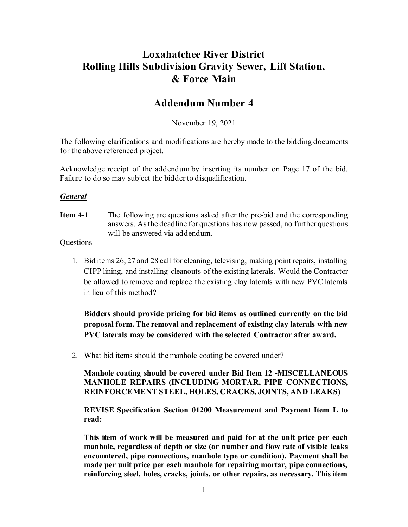## **Loxahatchee River District Rolling Hills Subdivision Gravity Sewer, Lift Station, & Force Main**

## **Addendum Number 4**

November 19, 2021

The following clarifications and modifications are hereby made to the bidding documents for the above referenced project.

Acknowledge receipt of the addendum by inserting its number on Page 17 of the bid. Failure to do so may subject the bidder to disqualification.

## *General*

**Item 4-1** The following are questions asked after the pre-bid and the corresponding answers. As the deadline for questions has now passed, no further questions will be answered via addendum.

**Questions** 

1. Bid items 26, 27 and 28 call for cleaning, televising, making point repairs, installing CIPP lining, and installing cleanouts of the existing laterals. Would the Contractor be allowed to remove and replace the existing clay laterals with new PVC laterals in lieu of this method?

**Bidders should provide pricing for bid items as outlined currently on the bid proposal form. The removal and replacement of existing clay laterals with new PVC laterals may be considered with the selected Contractor after award.**

2. What bid items should the manhole coating be covered under?

**Manhole coating should be covered under Bid Item 12 -MISCELLANEOUS MANHOLE REPAIRS (INCLUDING MORTAR, PIPE CONNECTIONS, REINFORCEMENT STEEL, HOLES, CRACKS, JOINTS, AND LEAKS)**

**REVISE Specification Section 01200 Measurement and Payment Item L to read:**

**This item of work will be measured and paid for at the unit price per each manhole, regardless of depth or size (or number and flow rate of visible leaks encountered, pipe connections, manhole type or condition). Payment shall be made per unit price per each manhole for repairing mortar, pipe connections, reinforcing steel, holes, cracks, joints, or other repairs, as necessary. This item**